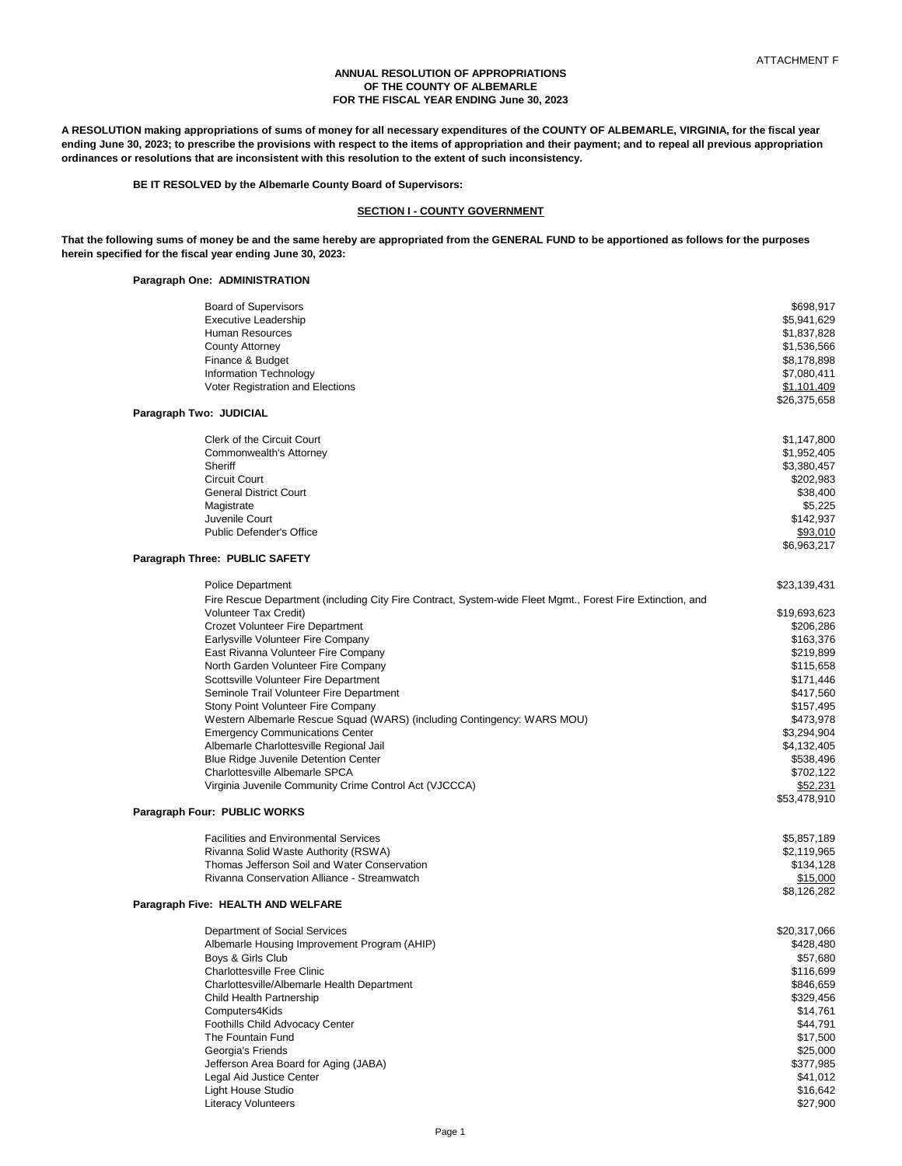### **ANNUAL RESOLUTION OF APPROPRIATIONS OF THE COUNTY OF ALBEMARLE FOR THE FISCAL YEAR ENDING June 30, 2023**

**A RESOLUTION making appropriations of sums of money for all necessary expenditures of the COUNTY OF ALBEMARLE, VIRGINIA, for the fiscal year ending June 30, 2023; to prescribe the provisions with respect to the items of appropriation and their payment; and to repeal all previous appropriation ordinances or resolutions that are inconsistent with this resolution to the extent of such inconsistency.**

**BE IT RESOLVED by the Albemarle County Board of Supervisors:**

## **SECTION I - COUNTY GOVERNMENT**

**That the following sums of money be and the same hereby are appropriated from the GENERAL FUND to be apportioned as follows for the purposes herein specified for the fiscal year ending June 30, 2023:**

## **Paragraph One: ADMINISTRATION**

| <b>Board of Supervisors</b>                                                                                | \$698,917    |
|------------------------------------------------------------------------------------------------------------|--------------|
| <b>Executive Leadership</b>                                                                                | \$5,941,629  |
| <b>Human Resources</b>                                                                                     | \$1,837,828  |
| <b>County Attorney</b>                                                                                     | \$1,536,566  |
| Finance & Budget                                                                                           | \$8,178,898  |
| <b>Information Technology</b>                                                                              | \$7,080,411  |
| Voter Registration and Elections                                                                           | \$1,101,409  |
|                                                                                                            | \$26,375,658 |
| Paragraph Two: JUDICIAL                                                                                    |              |
| <b>Clerk of the Circuit Court</b>                                                                          | \$1,147,800  |
| Commonwealth's Attorney                                                                                    | \$1,952,405  |
| Sheriff                                                                                                    | \$3,380,457  |
| <b>Circuit Court</b>                                                                                       | \$202,983    |
| <b>General District Court</b>                                                                              | \$38,400     |
| Magistrate                                                                                                 | \$5,225      |
| Juvenile Court                                                                                             | \$142,937    |
| <b>Public Defender's Office</b>                                                                            | \$93,010     |
|                                                                                                            | \$6,963,217  |
| Paragraph Three: PUBLIC SAFETY                                                                             |              |
| <b>Police Department</b>                                                                                   | \$23,139,431 |
| Fire Rescue Department (including City Fire Contract, System-wide Fleet Mgmt., Forest Fire Extinction, and |              |
| <b>Volunteer Tax Credit)</b>                                                                               | \$19,693,623 |
| <b>Crozet Volunteer Fire Department</b>                                                                    | \$206,286    |
| Earlysville Volunteer Fire Company                                                                         | \$163,376    |
| East Rivanna Volunteer Fire Company                                                                        | \$219,899    |
| North Garden Volunteer Fire Company                                                                        | \$115,658    |
| Scottsville Volunteer Fire Department                                                                      | \$171,446    |
| Seminole Trail Volunteer Fire Department                                                                   | \$417,560    |
| Stony Point Volunteer Fire Company                                                                         | \$157,495    |
| Western Albemarle Rescue Squad (WARS) (including Contingency: WARS MOU)                                    | \$473,978    |
| <b>Emergency Communications Center</b>                                                                     | \$3,294,904  |
| Albemarle Charlottesville Regional Jail                                                                    | \$4,132,405  |
| <b>Blue Ridge Juvenile Detention Center</b>                                                                | \$538,496    |
| Charlottesville Albemarle SPCA                                                                             | \$702,122    |
| Virginia Juvenile Community Crime Control Act (VJCCCA)                                                     | \$52,231     |
|                                                                                                            | \$53,478,910 |
| Paragraph Four: PUBLIC WORKS                                                                               |              |
| <b>Facilities and Environmental Services</b>                                                               | \$5,857,189  |
| Rivanna Solid Waste Authority (RSWA)                                                                       | \$2,119,965  |
| Thomas Jefferson Soil and Water Conservation                                                               | \$134,128    |
| Rivanna Conservation Alliance - Streamwatch                                                                | \$15,000     |
|                                                                                                            | \$8,126,282  |
| Paragraph Five: HEALTH AND WELFARE                                                                         |              |
| Department of Social Services                                                                              | \$20,317,066 |
| Albemarle Housing Improvement Program (AHIP)                                                               | \$428,480    |
| Boys & Girls Club                                                                                          | \$57,680     |
| <b>Charlottesville Free Clinic</b>                                                                         | \$116,699    |
| Charlottesville/Albemarle Health Department                                                                | \$846,659    |
| Child Health Partnership                                                                                   | \$329,456    |
| Computers4Kids                                                                                             | \$14,761     |
| Foothills Child Advocacy Center                                                                            | \$44,791     |
| The Fountain Fund                                                                                          | \$17,500     |
| Georgia's Friends                                                                                          | \$25,000     |
| Jefferson Area Board for Aging (JABA)                                                                      | \$377,985    |
| Legal Aid Justice Center                                                                                   | \$41,012     |
| Light House Studio                                                                                         | \$16,642     |
| <b>Literacy Volunteers</b>                                                                                 | \$27,900     |
|                                                                                                            |              |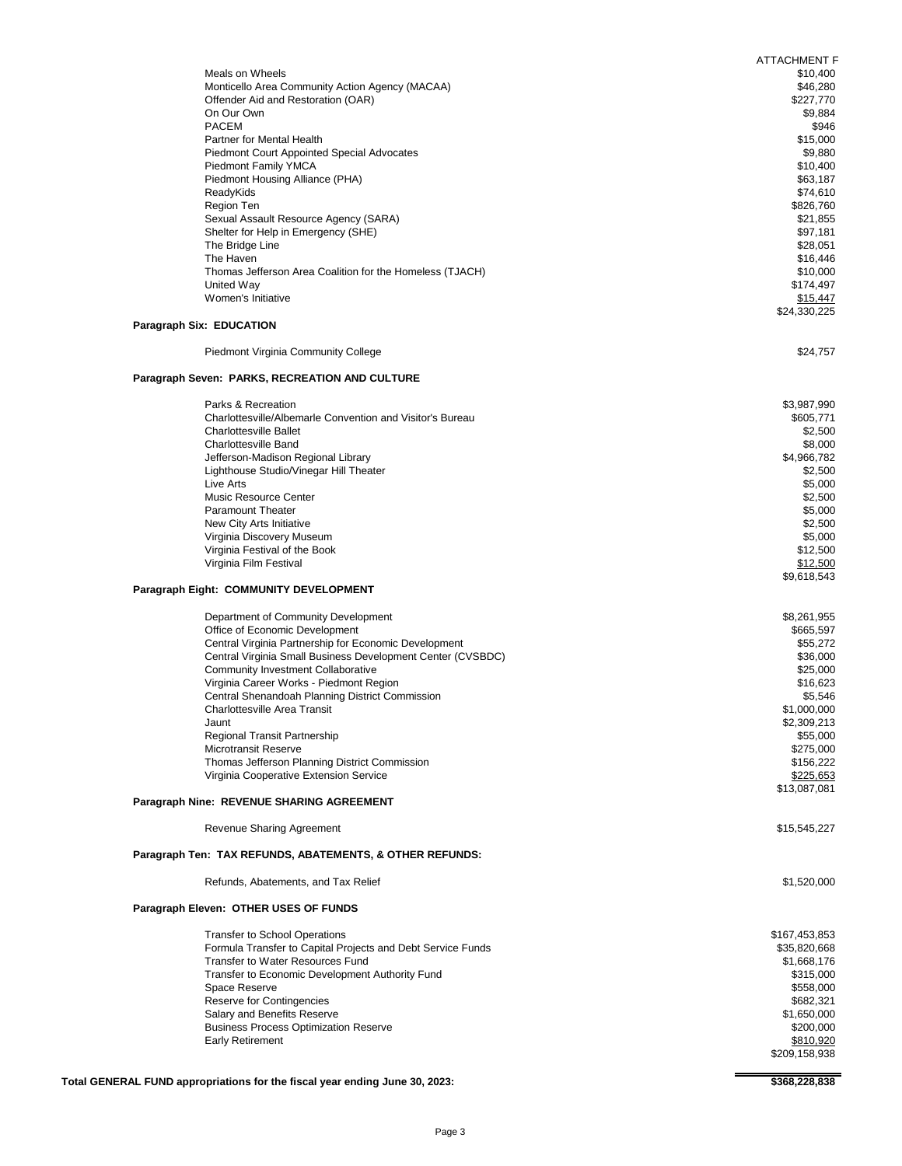|                                                                                                        | <b>ATTACHMENT F</b>         |
|--------------------------------------------------------------------------------------------------------|-----------------------------|
| Meals on Wheels                                                                                        | \$10,400                    |
| Monticello Area Community Action Agency (MACAA)                                                        | \$46,280                    |
| Offender Aid and Restoration (OAR)<br>On Our Own                                                       | \$227,770<br>\$9,884        |
| <b>PACEM</b>                                                                                           | \$946                       |
| Partner for Mental Health                                                                              | \$15,000                    |
| <b>Piedmont Court Appointed Special Advocates</b>                                                      | \$9,880                     |
| Piedmont Family YMCA                                                                                   | \$10,400                    |
| Piedmont Housing Alliance (PHA)                                                                        | \$63,187                    |
| ReadyKids<br>Region Ten                                                                                | \$74,610<br>\$826,760       |
| Sexual Assault Resource Agency (SARA)                                                                  | \$21,855                    |
| Shelter for Help in Emergency (SHE)                                                                    | \$97,181                    |
| The Bridge Line                                                                                        | \$28,051                    |
| The Haven                                                                                              | \$16,446                    |
| Thomas Jefferson Area Coalition for the Homeless (TJACH)<br>United Way                                 | \$10,000<br>\$174,497       |
| Women's Initiative                                                                                     | \$15,447                    |
|                                                                                                        | \$24,330,225                |
| <b>Paragraph Six: EDUCATION</b>                                                                        |                             |
| Piedmont Virginia Community College                                                                    | \$24,757                    |
|                                                                                                        |                             |
| Paragraph Seven: PARKS, RECREATION AND CULTURE                                                         |                             |
| Parks & Recreation                                                                                     | \$3,987,990                 |
| Charlottesville/Albemarle Convention and Visitor's Bureau                                              | \$605,771                   |
| <b>Charlottesville Ballet</b>                                                                          | \$2,500                     |
| <b>Charlottesville Band</b>                                                                            | \$8,000                     |
| Jefferson-Madison Regional Library<br>Lighthouse Studio/Vinegar Hill Theater                           | \$4,966,782<br>\$2,500      |
| Live Arts                                                                                              | \$5,000                     |
| <b>Music Resource Center</b>                                                                           | \$2,500                     |
| <b>Paramount Theater</b>                                                                               | \$5,000                     |
| New City Arts Initiative                                                                               | \$2,500                     |
| Virginia Discovery Museum<br>Virginia Festival of the Book                                             | \$5,000<br>\$12,500         |
| Virginia Film Festival                                                                                 | \$12,500                    |
|                                                                                                        | \$9,618,543                 |
| Paragraph Eight: COMMUNITY DEVELOPMENT                                                                 |                             |
| Department of Community Development                                                                    | \$8,261,955                 |
| Office of Economic Development                                                                         | \$665,597                   |
| Central Virginia Partnership for Economic Development                                                  | \$55,272                    |
| Central Virginia Small Business Development Center (CVSBDC)                                            | \$36,000                    |
| <b>Community Investment Collaborative</b><br>Virginia Career Works - Piedmont Region                   | \$25,000<br>\$16,623        |
| Central Shenandoah Planning District Commission                                                        | \$5,546                     |
| <b>Charlottesville Area Transit</b>                                                                    | \$1,000,000                 |
| Jaunt                                                                                                  | \$2,309,213                 |
| <b>Regional Transit Partnership</b>                                                                    | \$55,000                    |
| <b>Microtransit Reserve</b>                                                                            | \$275,000                   |
| Thomas Jefferson Planning District Commission<br>Virginia Cooperative Extension Service                | \$156,222<br>\$225,653      |
|                                                                                                        | \$13,087,081                |
| Paragraph Nine: REVENUE SHARING AGREEMENT                                                              |                             |
| <b>Revenue Sharing Agreement</b>                                                                       | \$15,545,227                |
|                                                                                                        |                             |
| Paragraph Ten: TAX REFUNDS, ABATEMENTS, & OTHER REFUNDS:                                               |                             |
| Refunds, Abatements, and Tax Relief                                                                    | \$1,520,000                 |
| Paragraph Eleven: OTHER USES OF FUNDS                                                                  |                             |
|                                                                                                        |                             |
| <b>Transfer to School Operations</b>                                                                   | \$167,453,853               |
| Formula Transfer to Capital Projects and Debt Service Funds<br><b>Transfer to Water Resources Fund</b> | \$35,820,668<br>\$1,668,176 |
| Transfer to Economic Development Authority Fund                                                        | \$315,000                   |
| Space Reserve                                                                                          | \$558,000                   |
| <b>Reserve for Contingencies</b>                                                                       | \$682,321                   |
| Salary and Benefits Reserve                                                                            | \$1,650,000                 |
| <b>Business Process Optimization Reserve</b>                                                           | \$200,000                   |
| <b>Early Retirement</b>                                                                                | \$810,920<br>\$209,158,938  |
|                                                                                                        |                             |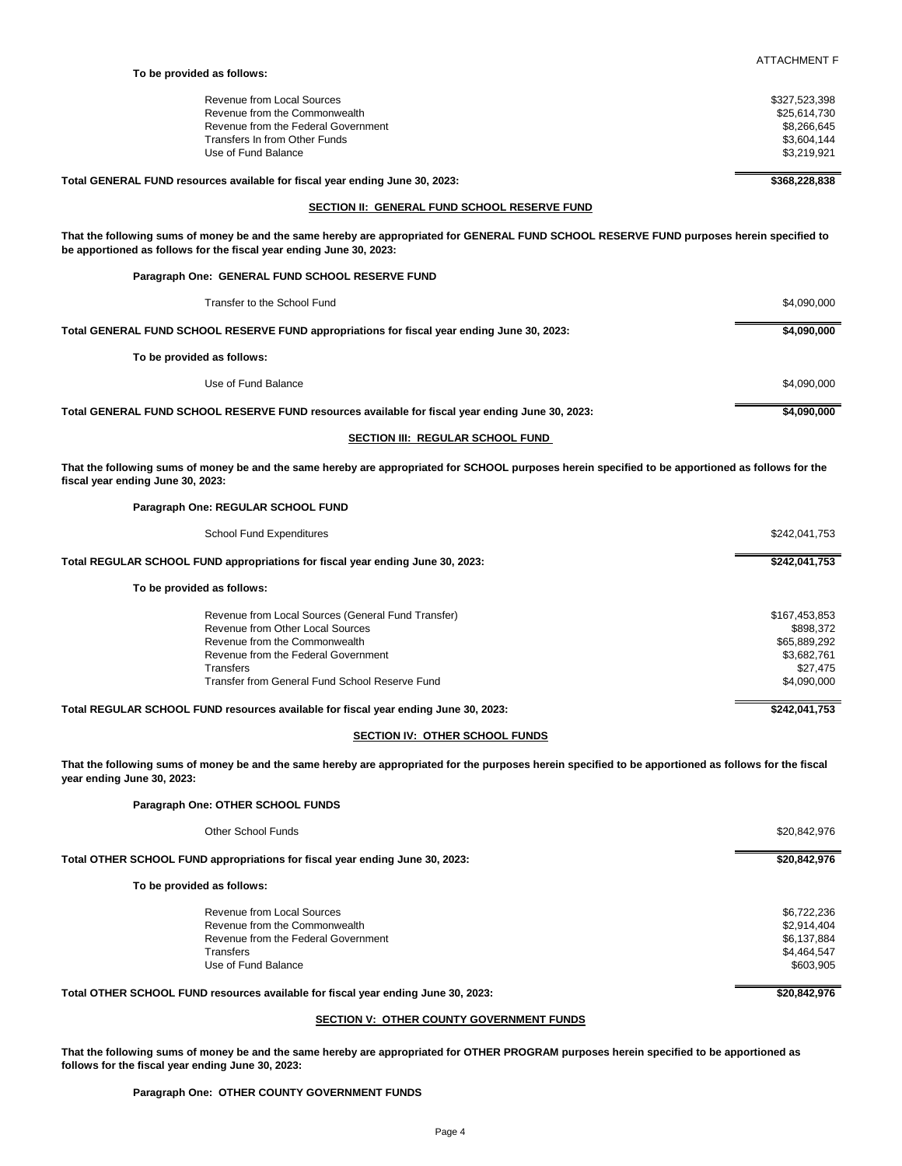| To be provided as follows:          |               |  |
|-------------------------------------|---------------|--|
| Revenue from Local Sources          | \$327,523,398 |  |
| Revenue from the Commonwealth       | \$25,614,730  |  |
| Revenue from the Federal Government | \$8,266,645   |  |
| Transfers In from Other Funds       | \$3,604,144   |  |
| Use of Fund Balance                 | \$3,219,921   |  |
|                                     |               |  |

ATTACHMENT F

Total GENERAL FUND resources available for fiscal year ending June 30, 2023: \$368,228,838

## **SECTION II: GENERAL FUND SCHOOL RESERVE FUND**

**That the following sums of money be and the same hereby are appropriated for GENERAL FUND SCHOOL RESERVE FUND purposes herein specified to be apportioned as follows for the fiscal year ending June 30, 2023:**

| Paragraph One: GENERAL FUND SCHOOL RESERVE FUND                                                  |             |
|--------------------------------------------------------------------------------------------------|-------------|
| Transfer to the School Fund                                                                      | \$4,090,000 |
| Total GENERAL FUND SCHOOL RESERVE FUND appropriations for fiscal year ending June 30, 2023:      | \$4,090,000 |
| To be provided as follows:                                                                       |             |
| Use of Fund Balance                                                                              | \$4,090,000 |
| Total GENERAL FUND SCHOOL RESERVE FUND resources available for fiscal year ending June 30, 2023: | \$4,090,000 |

### **SECTION III: REGULAR SCHOOL FUND**

**That the following sums of money be and the same hereby are appropriated for SCHOOL purposes herein specified to be apportioned as follows for the fiscal year ending June 30, 2023:**

**Paragraph One: REGULAR SCHOOL FUND**

| <b>School Fund Expenditures</b>                                                     | \$242,041,753 |
|-------------------------------------------------------------------------------------|---------------|
| Total REGULAR SCHOOL FUND appropriations for fiscal year ending June 30, 2023:      | \$242,041,753 |
| To be provided as follows:                                                          |               |
| Revenue from Local Sources (General Fund Transfer)                                  | \$167,453,853 |
| Revenue from Other Local Sources                                                    | \$898,372     |
| Revenue from the Commonwealth                                                       | \$65,889,292  |
| Revenue from the Federal Government                                                 | \$3,682,761   |
| <b>Transfers</b>                                                                    | \$27,475      |
| Transfer from General Fund School Reserve Fund                                      | \$4,090,000   |
| Total REGULAR SCHOOL FUND resources available for fiscal year ending June 30, 2023: | \$242,041,753 |

## **SECTION IV: OTHER SCHOOL FUNDS**

**That the following sums of money be and the same hereby are appropriated for the purposes herein specified to be apportioned as follows for the fiscal year ending June 30, 2023:**

**Paragraph One: OTHER SCHOOL FUNDS**

| Other School Funds                                                                | \$20,842,976 |
|-----------------------------------------------------------------------------------|--------------|
| Total OTHER SCHOOL FUND appropriations for fiscal year ending June 30, 2023:      | \$20,842,976 |
| To be provided as follows:                                                        |              |
| Revenue from Local Sources                                                        | \$6,722,236  |
| Revenue from the Commonwealth                                                     | \$2,914,404  |
| Revenue from the Federal Government                                               | \$6,137,884  |
| <b>Transfers</b>                                                                  | \$4,464,547  |
| Use of Fund Balance                                                               | \$603,905    |
| Total OTHER SCHOOL FUND resources available for fiscal year ending June 30, 2023: | \$20,842,976 |

## **SECTION V: OTHER COUNTY GOVERNMENT FUNDS**

**That the following sums of money be and the same hereby are appropriated for OTHER PROGRAM purposes herein specified to be apportioned as follows for the fiscal year ending June 30, 2023:**

## **Paragraph One: OTHER COUNTY GOVERNMENT FUNDS**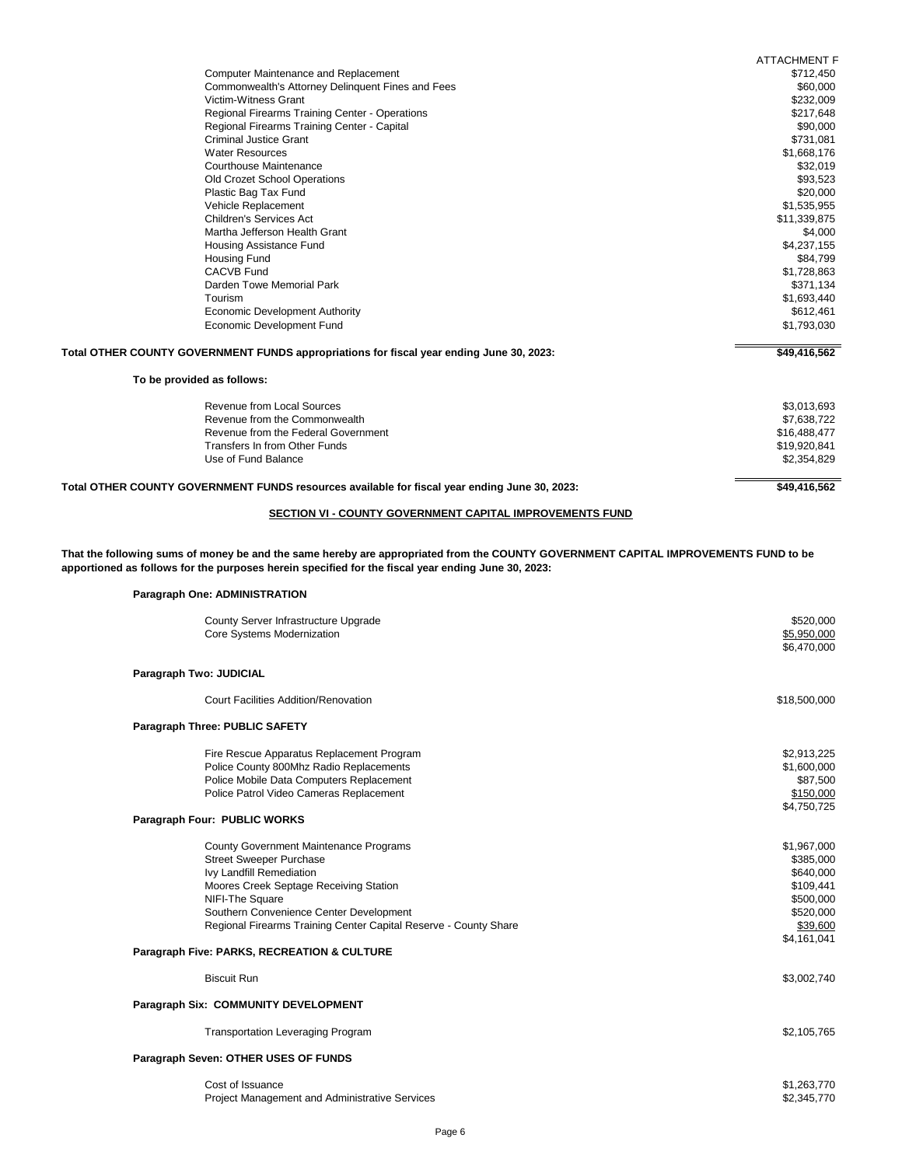|                                                                                               | <b>ATTACHMENT F</b> |
|-----------------------------------------------------------------------------------------------|---------------------|
| <b>Computer Maintenance and Replacement</b>                                                   | \$712,450           |
| Commonwealth's Attorney Delinquent Fines and Fees                                             | \$60,000            |
| Victim-Witness Grant                                                                          | \$232,009           |
| Regional Firearms Training Center - Operations                                                | \$217,648           |
| Regional Firearms Training Center - Capital                                                   | \$90,000            |
| <b>Criminal Justice Grant</b>                                                                 | \$731,081           |
| <b>Water Resources</b>                                                                        | \$1,668,176         |
| <b>Courthouse Maintenance</b>                                                                 | \$32,019            |
| Old Crozet School Operations                                                                  | \$93,523            |
| Plastic Bag Tax Fund                                                                          | \$20,000            |
| Vehicle Replacement                                                                           | \$1,535,955         |
| <b>Children's Services Act</b>                                                                | \$11,339,875        |
| Martha Jefferson Health Grant                                                                 | \$4,000             |
| Housing Assistance Fund                                                                       | \$4,237,155         |
| <b>Housing Fund</b>                                                                           | \$84,799            |
| <b>CACVB Fund</b>                                                                             | \$1,728,863         |
| Darden Towe Memorial Park                                                                     | \$371,134           |
| Tourism                                                                                       | \$1,693,440         |
| <b>Economic Development Authority</b>                                                         | \$612,461           |
| <b>Economic Development Fund</b>                                                              | \$1,793,030         |
| Total OTHER COUNTY GOVERNMENT FUNDS appropriations for fiscal year ending June 30, 2023:      | \$49,416,562        |
| To be provided as follows:                                                                    |                     |
| <b>Revenue from Local Sources</b>                                                             | \$3,013,693         |
| Revenue from the Commonwealth                                                                 | \$7,638,722         |
| Revenue from the Federal Government                                                           | \$16,488,477        |
| <b>Transfers In from Other Funds</b>                                                          | \$19,920,841        |
| Use of Fund Balance                                                                           | \$2,354,829         |
| Total OTHER COUNTY GOVERNMENT FUNDS resources available for fiscal year ending June 30, 2023: | \$49,416,562        |
|                                                                                               |                     |

# **SECTION VI - COUNTY GOVERNMENT CAPITAL IMPROVEMENTS FUND**

**That the following sums of money be and the same hereby are appropriated from the COUNTY GOVERNMENT CAPITAL IMPROVEMENTS FUND to be apportioned as follows for the purposes herein specified for the fiscal year ending June 30, 2023:**

**Paragraph One: ADMINISTRATION**

|                         | County Server Infrastructure Upgrade<br>Core Systems Modernization | \$520,000<br>\$5,950,000<br>\$6,470,000 |
|-------------------------|--------------------------------------------------------------------|-----------------------------------------|
| Paragraph Two: JUDICIAL |                                                                    |                                         |
|                         | <b>Court Facilities Addition/Renovation</b>                        | \$18,500,000                            |
|                         | <b>Paragraph Three: PUBLIC SAFETY</b>                              |                                         |
|                         | Fire Rescue Apparatus Replacement Program                          | \$2,913,225                             |
|                         | Police County 800Mhz Radio Replacements                            | \$1,600,000                             |
|                         | Police Mobile Data Computers Replacement                           | \$87,500                                |
|                         | Police Patrol Video Cameras Replacement                            | \$150,000                               |
|                         |                                                                    | \$4,750,725                             |
|                         | Paragraph Four: PUBLIC WORKS                                       |                                         |
|                         | <b>County Government Maintenance Programs</b>                      | \$1,967,000                             |
|                         | <b>Street Sweeper Purchase</b>                                     | \$385,000                               |
|                         | Ivy Landfill Remediation                                           | \$640,000                               |
|                         | Moores Creek Septage Receiving Station                             | \$109,441                               |
|                         | NIFI-The Square                                                    | \$500,000                               |
|                         | Southern Convenience Center Development                            | \$520,000                               |
|                         | Regional Firearms Training Center Capital Reserve - County Share   | \$39,600                                |
|                         |                                                                    | \$4,161,041                             |
|                         | Paragraph Five: PARKS, RECREATION & CULTURE                        |                                         |
|                         | <b>Biscuit Run</b>                                                 | \$3,002,740                             |
|                         | Paragraph Six: COMMUNITY DEVELOPMENT                               |                                         |
|                         | <b>Transportation Leveraging Program</b>                           | \$2,105,765                             |
|                         | Paragraph Seven: OTHER USES OF FUNDS                               |                                         |
|                         | Cost of Issuance                                                   | \$1,263,770                             |
|                         | Project Management and Administrative Services                     | \$2,345,770                             |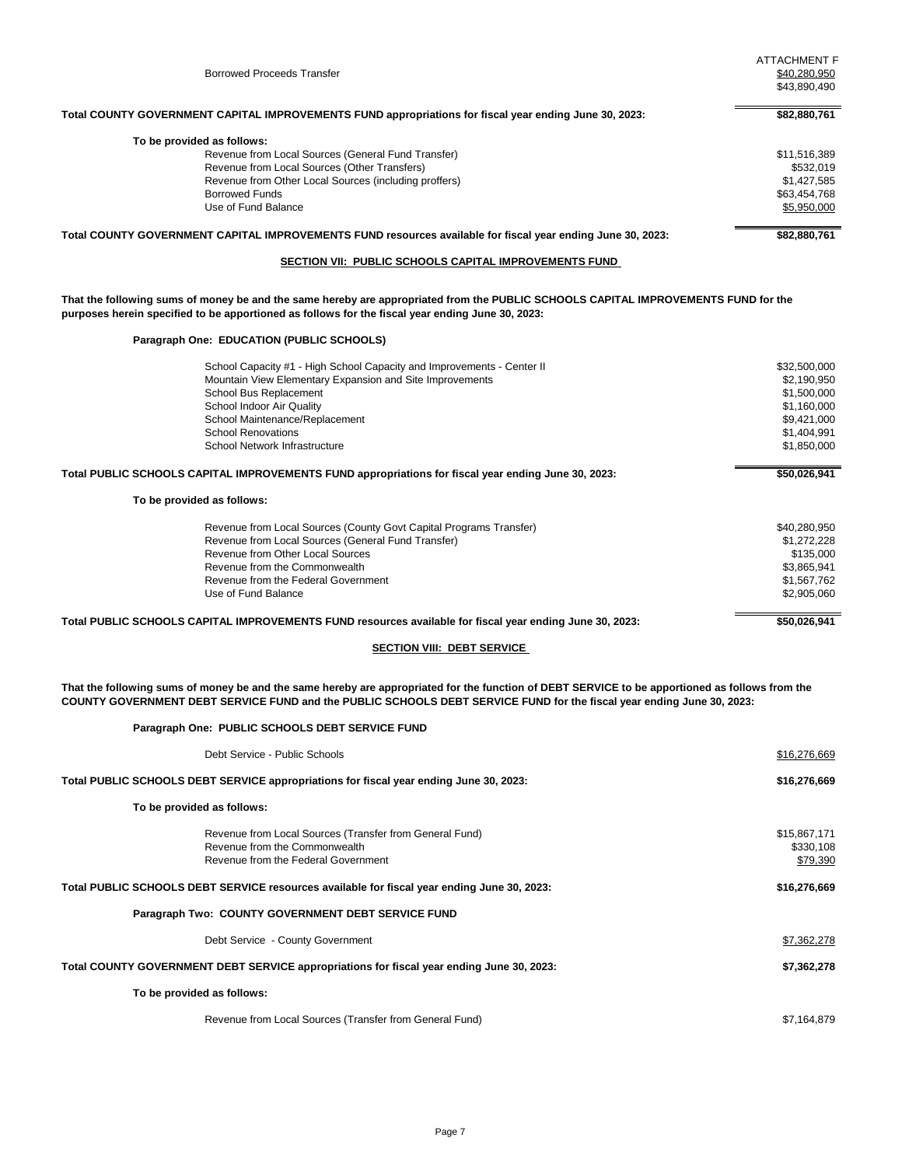| <b>Borrowed Proceeds Transfer</b>                                                                                                                                                                                                                                         | <b>ATTACHMENT F</b><br>\$40,280,950<br>\$43,890,490 |
|---------------------------------------------------------------------------------------------------------------------------------------------------------------------------------------------------------------------------------------------------------------------------|-----------------------------------------------------|
| Total COUNTY GOVERNMENT CAPITAL IMPROVEMENTS FUND appropriations for fiscal year ending June 30, 2023:                                                                                                                                                                    | \$82,880,761                                        |
| To be provided as follows:                                                                                                                                                                                                                                                |                                                     |
| Revenue from Local Sources (General Fund Transfer)                                                                                                                                                                                                                        | \$11,516,389                                        |
| Revenue from Local Sources (Other Transfers)                                                                                                                                                                                                                              | \$532,019                                           |
| Revenue from Other Local Sources (including proffers)                                                                                                                                                                                                                     | \$1,427,585                                         |
| <b>Borrowed Funds</b>                                                                                                                                                                                                                                                     | \$63,454,768                                        |
| Use of Fund Balance                                                                                                                                                                                                                                                       | \$5,950,000                                         |
| Total COUNTY GOVERNMENT CAPITAL IMPROVEMENTS FUND resources available for fiscal year ending June 30, 2023:                                                                                                                                                               | \$82,880,761                                        |
| SECTION VII: PUBLIC SCHOOLS CAPITAL IMPROVEMENTS FUND                                                                                                                                                                                                                     |                                                     |
| That the following sums of money be and the same hereby are appropriated from the PUBLIC SCHOOLS CAPITAL IMPROVEMENTS FUND for the<br>purposes herein specified to be apportioned as follows for the fiscal year ending June 30, 2023:                                    |                                                     |
| Paragraph One: EDUCATION (PUBLIC SCHOOLS)                                                                                                                                                                                                                                 |                                                     |
| School Capacity #1 - High School Capacity and Improvements - Center II                                                                                                                                                                                                    | \$32,500,000                                        |
| Mountain View Elementary Expansion and Site Improvements                                                                                                                                                                                                                  | \$2,190,950                                         |
| School Bus Replacement                                                                                                                                                                                                                                                    | \$1,500,000                                         |
| School Indoor Air Quality                                                                                                                                                                                                                                                 | \$1,160,000                                         |
| School Maintenance/Replacement                                                                                                                                                                                                                                            | \$9,421,000                                         |
| <b>School Renovations</b>                                                                                                                                                                                                                                                 | \$1,404,991                                         |
| School Network Infrastructure                                                                                                                                                                                                                                             | \$1,850,000                                         |
| Total PUBLIC SCHOOLS CAPITAL IMPROVEMENTS FUND appropriations for fiscal year ending June 30, 2023:                                                                                                                                                                       | \$50,026,941                                        |
| To be provided as follows:                                                                                                                                                                                                                                                |                                                     |
| Revenue from Local Sources (County Govt Capital Programs Transfer)                                                                                                                                                                                                        | \$40,280,950                                        |
| Revenue from Local Sources (General Fund Transfer)                                                                                                                                                                                                                        | \$1,272,228                                         |
| Revenue from Other Local Sources                                                                                                                                                                                                                                          | \$135,000                                           |
| Revenue from the Commonwealth                                                                                                                                                                                                                                             | \$3,865,941                                         |
| Revenue from the Federal Government                                                                                                                                                                                                                                       | \$1,567,762                                         |
| Use of Fund Balance                                                                                                                                                                                                                                                       | \$2,905,060                                         |
| Total PUBLIC SCHOOLS CAPITAL IMPROVEMENTS FUND resources available for fiscal year ending June 30, 2023:                                                                                                                                                                  | \$50,026,941                                        |
| <b>SECTION VIII: DEBT SERVICE</b>                                                                                                                                                                                                                                         |                                                     |
|                                                                                                                                                                                                                                                                           |                                                     |
| That the following sums of money be and the same hereby are appropriated for the function of DEBT SERVICE to be apportioned as follows from the<br>COUNTY GOVERNMENT DEBT SERVICE FUND and the PUBLIC SCHOOLS DEBT SERVICE FUND for the fiscal year ending June 30, 2023: |                                                     |
| Paragraph One: PUBLIC SCHOOLS DEBT SERVICE FUND                                                                                                                                                                                                                           |                                                     |
| Debt Service - Public Schools                                                                                                                                                                                                                                             | \$16,276,669                                        |
| Total PUBLIC SCHOOLS DEBT SERVICE appropriations for fiscal year ending June 30, 2023:                                                                                                                                                                                    | \$16,276,669                                        |
| To be provided as follows:                                                                                                                                                                                                                                                |                                                     |
| Revenue from Local Sources (Transfer from General Fund)                                                                                                                                                                                                                   | \$15,867,171                                        |
| Revenue from the Commonwealth                                                                                                                                                                                                                                             |                                                     |
| Revenue from the Federal Government                                                                                                                                                                                                                                       | \$330,108<br>\$79,390                               |
| Total PUBLIC SCHOOLS DEBT SERVICE resources available for fiscal year ending June 30, 2023:                                                                                                                                                                               | \$16,276,669                                        |

**Paragraph Two: COUNTY GOVERNMENT DEBT SERVICE FUND**

Debt Service - County Government  $$7,362,278$ **Total COUNTY GOVERNMENT DEBT SERVICE appropriations for fiscal year ending June 30, 2023: \$7,362,278 To be provided as follows:** Revenue from Local Sources (Transfer from General Fund) \$7,164,879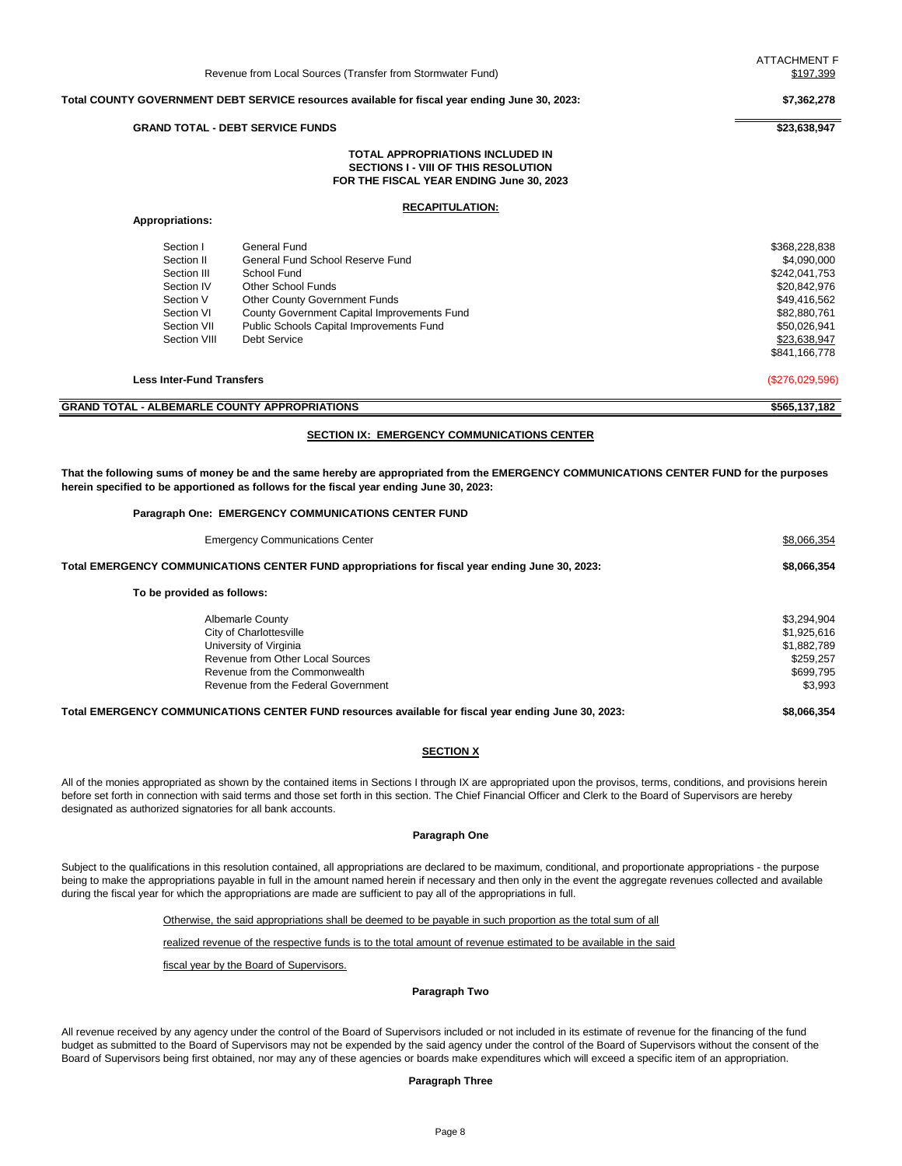#### **Total COUNTY GOVERNMENT DEBT SERVICE resources available for fiscal year ending June 30, 2023: \$7,362,278**

#### **GRAND TOTAL - DEBT SERVICE FUNDS \$23,638,947**

### **TOTAL APPROPRIATIONS INCLUDED IN SECTIONS I - VIII OF THIS RESOLUTION FOR THE FISCAL YEAR ENDING June 30, 2023**

#### **RECAPITULATION:**

### **Appropriations:**

| Section I    | General Fund                                | \$368,228,838 |
|--------------|---------------------------------------------|---------------|
| Section II   | General Fund School Reserve Fund            | \$4,090,000   |
| Section III  | School Fund                                 | \$242,041,753 |
| Section IV   | Other School Funds                          | \$20,842,976  |
| Section V    | <b>Other County Government Funds</b>        | \$49,416,562  |
| Section VI   | County Government Capital Improvements Fund | \$82,880,761  |
| Section VII  | Public Schools Capital Improvements Fund    | \$50,026,941  |
| Section VIII | Debt Service                                | \$23,638,947  |
|              |                                             | \$841,166,778 |

**Less Inter-Fund Transfers** (\$276,029,596)

| <b>APPROPRIATIONS</b><br>GRAND TOTAL<br>: COUNTY .<br><b>ALBEMARLL</b> | \$565,137,182 |
|------------------------------------------------------------------------|---------------|

## **SECTION IX: EMERGENCY COMMUNICATIONS CENTER**

**That the following sums of money be and the same hereby are appropriated from the EMERGENCY COMMUNICATIONS CENTER FUND for the purposes herein specified to be apportioned as follows for the fiscal year ending June 30, 2023:**

#### **Paragraph One: EMERGENCY COMMUNICATIONS CENTER FUND**

| <b>Emergency Communications Center</b>                                                               | \$8,066,354 |
|------------------------------------------------------------------------------------------------------|-------------|
| Total EMERGENCY COMMUNICATIONS CENTER FUND appropriations for fiscal year ending June 30, 2023:      | \$8,066,354 |
| To be provided as follows:                                                                           |             |
| <b>Albemarle County</b>                                                                              | \$3,294,904 |
| <b>City of Charlottesville</b>                                                                       | \$1,925,616 |
| University of Virginia                                                                               | \$1,882,789 |
| Revenue from Other Local Sources                                                                     | \$259,257   |
| Revenue from the Commonwealth                                                                        | \$699,795   |
| Revenue from the Federal Government                                                                  | \$3,993     |
| Total EMERGENCY COMMUNICATIONS CENTER FUND resources available for fiscal year ending June 30, 2023: | \$8,066,354 |

## **SECTION X**

All of the monies appropriated as shown by the contained items in Sections I through IX are appropriated upon the provisos, terms, conditions, and provisions herein before set forth in connection with said terms and those set forth in this section. The Chief Financial Officer and Clerk to the Board of Supervisors are hereby designated as authorized signatories for all bank accounts.

#### **Paragraph One**

Subject to the qualifications in this resolution contained, all appropriations are declared to be maximum, conditional, and proportionate appropriations - the purpose being to make the appropriations payable in full in the amount named herein if necessary and then only in the event the aggregate revenues collected and available during the fiscal year for which the appropriations are made are sufficient to pay all of the appropriations in full.

Otherwise, the said appropriations shall be deemed to be payable in such proportion as the total sum of all

realized revenue of the respective funds is to the total amount of revenue estimated to be available in the said

fiscal year by the Board of Supervisors.

## **Paragraph Two**

All revenue received by any agency under the control of the Board of Supervisors included or not included in its estimate of revenue for the financing of the fund budget as submitted to the Board of Supervisors may not be expended by the said agency under the control of the Board of Supervisors without the consent of the Board of Supervisors being first obtained, nor may any of these agencies or boards make expenditures which will exceed a specific item of an appropriation.

### **Paragraph Three**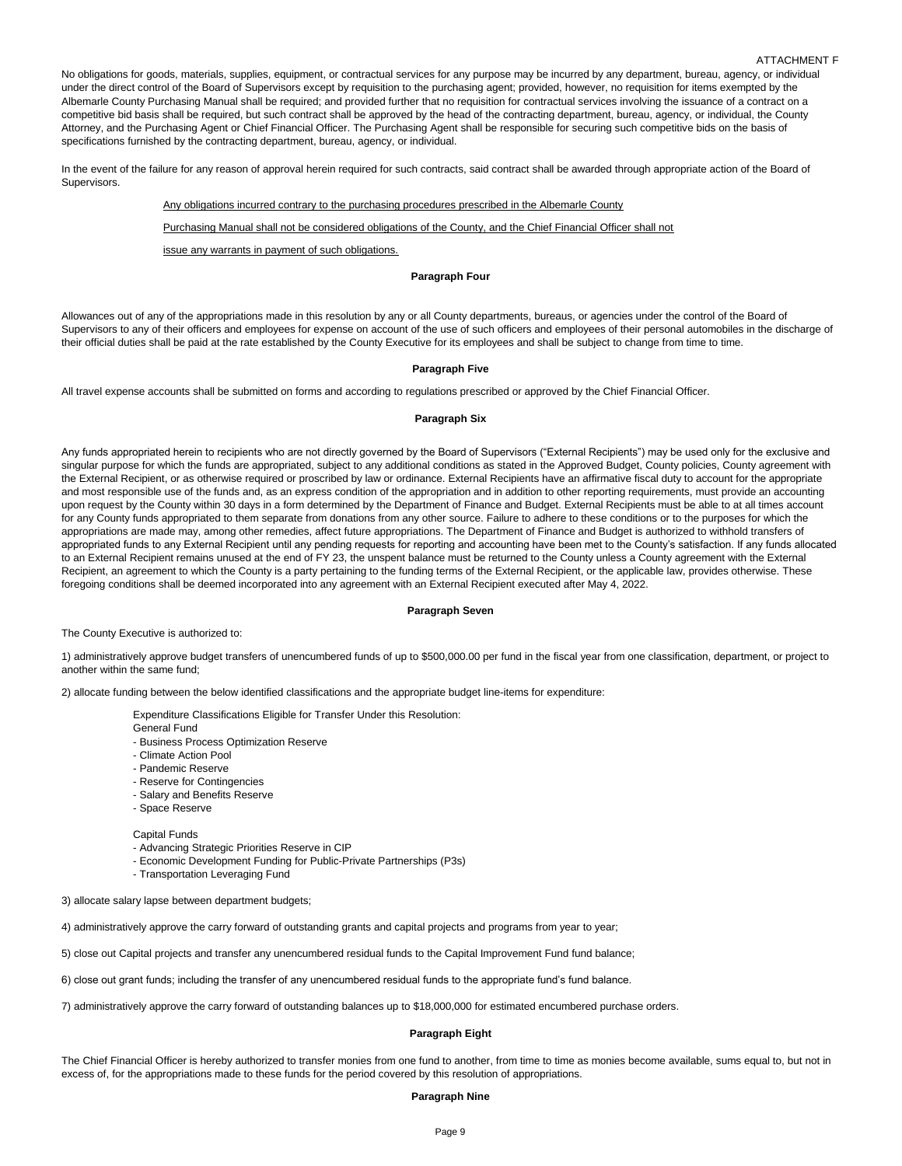No obligations for goods, materials, supplies, equipment, or contractual services for any purpose may be incurred by any department, bureau, agency, or individual under the direct control of the Board of Supervisors except by requisition to the purchasing agent; provided, however, no requisition for items exempted by the Albemarle County Purchasing Manual shall be required; and provided further that no requisition for contractual services involving the issuance of a contract on a competitive bid basis shall be required, but such contract shall be approved by the head of the contracting department, bureau, agency, or individual, the County Attorney, and the Purchasing Agent or Chief Financial Officer. The Purchasing Agent shall be responsible for securing such competitive bids on the basis of specifications furnished by the contracting department, bureau, agency, or individual.

In the event of the failure for any reason of approval herein required for such contracts, said contract shall be awarded through appropriate action of the Board of Supervisors.

Any obligations incurred contrary to the purchasing procedures prescribed in the Albemarle County

Purchasing Manual shall not be considered obligations of the County, and the Chief Financial Officer shall not

issue any warrants in payment of such obligations.

### **Paragraph Four**

Allowances out of any of the appropriations made in this resolution by any or all County departments, bureaus, or agencies under the control of the Board of Supervisors to any of their officers and employees for expense on account of the use of such officers and employees of their personal automobiles in the discharge of their official duties shall be paid at the rate established by the County Executive for its employees and shall be subject to change from time to time.

## **Paragraph Five**

All travel expense accounts shall be submitted on forms and according to regulations prescribed or approved by the Chief Financial Officer.

### **Paragraph Six**

Any funds appropriated herein to recipients who are not directly governed by the Board of Supervisors ("External Recipients") may be used only for the exclusive and singular purpose for which the funds are appropriated, subject to any additional conditions as stated in the Approved Budget, County policies, County agreement with the External Recipient, or as otherwise required or proscribed by law or ordinance. External Recipients have an affirmative fiscal duty to account for the appropriate and most responsible use of the funds and, as an express condition of the appropriation and in addition to other reporting requirements, must provide an accounting upon request by the County within 30 days in a form determined by the Department of Finance and Budget. External Recipients must be able to at all times account for any County funds appropriated to them separate from donations from any other source. Failure to adhere to these conditions or to the purposes for which the appropriations are made may, among other remedies, affect future appropriations. The Department of Finance and Budget is authorized to withhold transfers of appropriated funds to any External Recipient until any pending requests for reporting and accounting have been met to the County's satisfaction. If any funds allocated to an External Recipient remains unused at the end of FY 23, the unspent balance must be returned to the County unless a County agreement with the External Recipient, an agreement to which the County is a party pertaining to the funding terms of the External Recipient, or the applicable law, provides otherwise. These foregoing conditions shall be deemed incorporated into any agreement with an External Recipient executed after May 4, 2022.

### **Paragraph Seven**

The County Executive is authorized to:

1) administratively approve budget transfers of unencumbered funds of up to \$500,000.00 per fund in the fiscal year from one classification, department, or project to another within the same fund;

2) allocate funding between the below identified classifications and the appropriate budget line-items for expenditure:

Expenditure Classifications Eligible for Transfer Under this Resolution:

- General Fund
- Business Process Optimization Reserve
- Climate Action Pool
- Pandemic Reserve
- Reserve for Contingencies
- Salary and Benefits Reserve
- Space Reserve

### Capital Funds

- Advancing Strategic Priorities Reserve in CIP
- Economic Development Funding for Public-Private Partnerships (P3s)
- Transportation Leveraging Fund

3) allocate salary lapse between department budgets;

4) administratively approve the carry forward of outstanding grants and capital projects and programs from year to year;

5) close out Capital projects and transfer any unencumbered residual funds to the Capital Improvement Fund fund balance;

6) close out grant funds; including the transfer of any unencumbered residual funds to the appropriate fund's fund balance.

7) administratively approve the carry forward of outstanding balances up to \$18,000,000 for estimated encumbered purchase orders.

## **Paragraph Eight**

The Chief Financial Officer is hereby authorized to transfer monies from one fund to another, from time to time as monies become available, sums equal to, but not in excess of, for the appropriations made to these funds for the period covered by this resolution of appropriations.

### **Paragraph Nine**